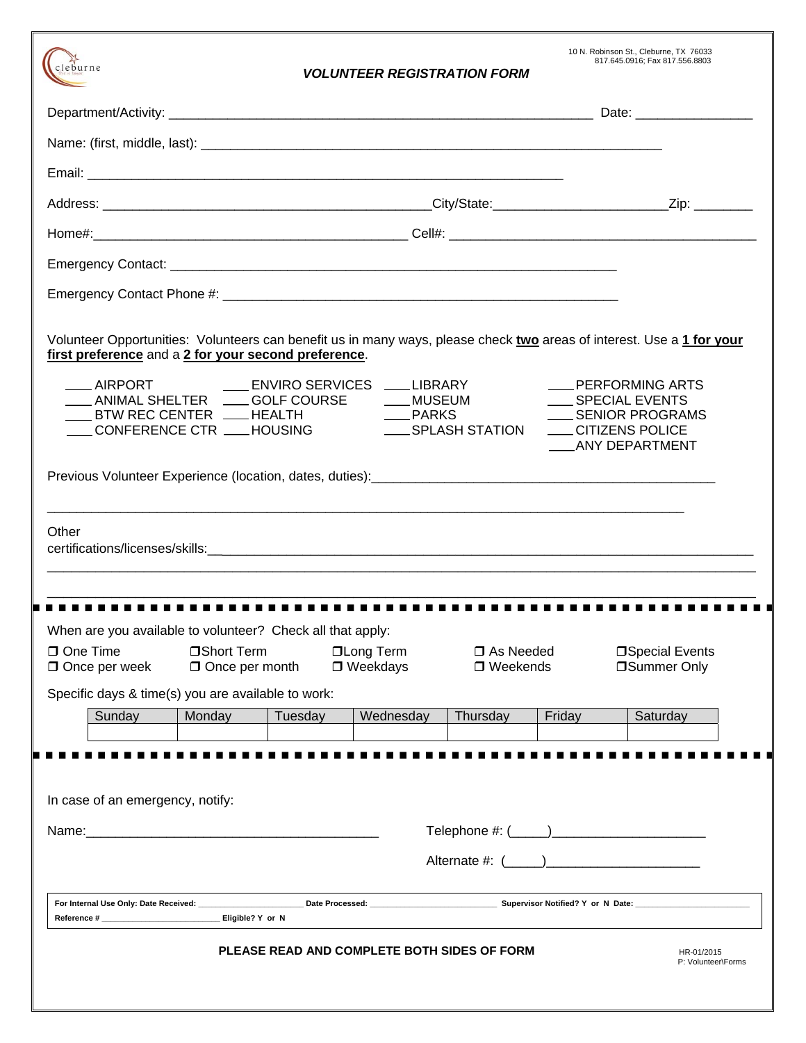| cleburne                                                                                                                    |                                      |         | <b>VOLUNTEER REGISTRATION FORM</b> |                           |        | 10 N. Robinson St., Cleburne, TX 76033<br>817.645.0916; Fax 817.556.8803                                   |  |
|-----------------------------------------------------------------------------------------------------------------------------|--------------------------------------|---------|------------------------------------|---------------------------|--------|------------------------------------------------------------------------------------------------------------|--|
|                                                                                                                             |                                      |         |                                    |                           |        |                                                                                                            |  |
|                                                                                                                             |                                      |         |                                    |                           |        |                                                                                                            |  |
|                                                                                                                             |                                      |         |                                    |                           |        |                                                                                                            |  |
|                                                                                                                             |                                      |         |                                    |                           |        |                                                                                                            |  |
|                                                                                                                             |                                      |         |                                    |                           |        |                                                                                                            |  |
|                                                                                                                             |                                      |         |                                    |                           |        |                                                                                                            |  |
|                                                                                                                             |                                      |         |                                    |                           |        |                                                                                                            |  |
| first preference and a 2 for your second preference.<br>BTW REC CENTER LATE HEALTH<br>___CONFERENCE CTR ___HOUSING<br>Other |                                      |         | __PARKS                            | ____ SPLASH STATION       |        | ____ PERFORMING ARTS<br>SPECIAL EVENTS<br>____ SENIOR PROGRAMS<br>___CITIZENS POLICE<br>____ANY DEPARTMENT |  |
| When are you available to volunteer? Check all that apply:<br>One Time<br>Once per week                                     | □Short Term<br>$\Box$ Once per month |         | □Long Term<br>□ Weekdays           | □ As Needed<br>□ Weekends |        | □Special Events<br><b>Summer Only</b>                                                                      |  |
| Specific days & time(s) you are available to work:<br>Sunday                                                                | Monday                               | Tuesday | Wednesday                          | Thursday                  | Friday | Saturday                                                                                                   |  |
|                                                                                                                             |                                      |         |                                    |                           |        |                                                                                                            |  |
| In case of an emergency, notify:                                                                                            |                                      |         |                                    |                           |        | Alternate #: ( )                                                                                           |  |
|                                                                                                                             |                                      |         |                                    |                           |        |                                                                                                            |  |

# **PLEASE READ AND COMPLETE BOTH SIDES OF FORM HR-01/2015** P: Volunteer\Forms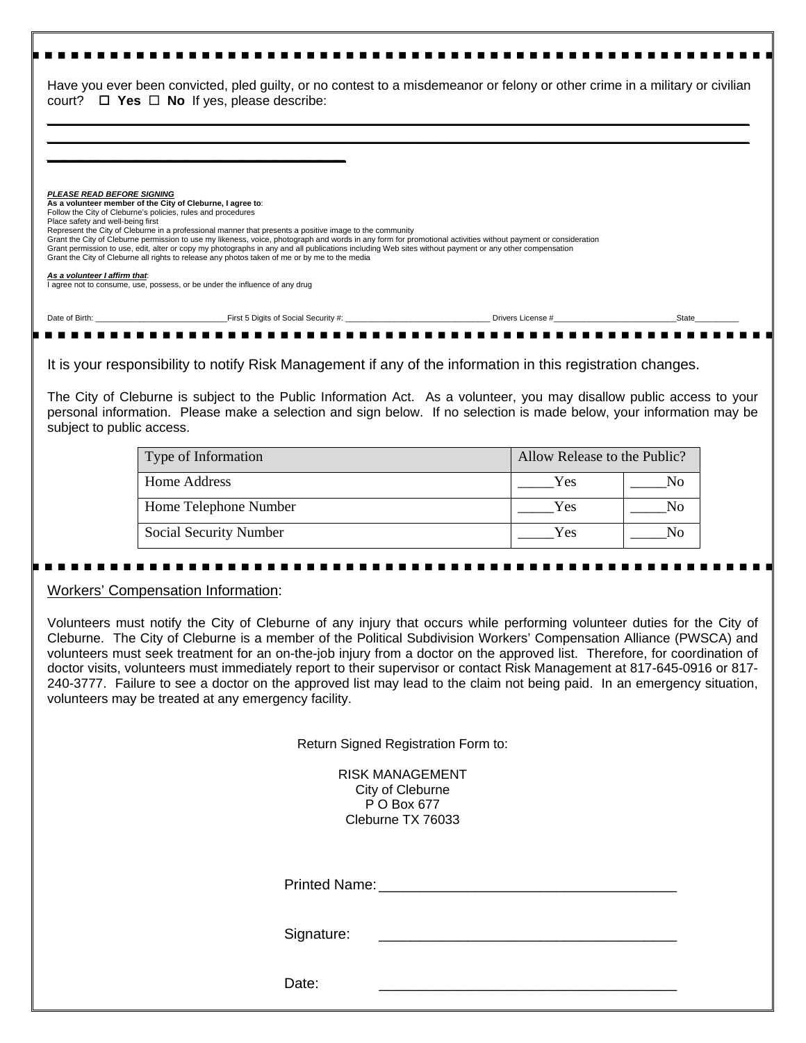|                                                                                                                                                                                                      | Have you ever been convicted, pled guilty, or no contest to a misdemeanor or felony or other crime in a military or civilian<br>court? $\Box$ Yes $\Box$ No If yes, please describe:                                                                                                                                                                                                                                    |       |
|------------------------------------------------------------------------------------------------------------------------------------------------------------------------------------------------------|-------------------------------------------------------------------------------------------------------------------------------------------------------------------------------------------------------------------------------------------------------------------------------------------------------------------------------------------------------------------------------------------------------------------------|-------|
| <b>PLEASE READ BEFORE SIGNING</b><br>As a volunteer member of the City of Cleburne, I agree to:<br>Follow the City of Cleburne's policies, rules and procedures<br>Place safety and well-being first | Represent the City of Cleburne in a professional manner that presents a positive image to the community                                                                                                                                                                                                                                                                                                                 |       |
|                                                                                                                                                                                                      | Grant the City of Cleburne permission to use my likeness, voice, photograph and words in any form for promotional activities without payment or consideration<br>Grant permission to use, edit, alter or copy my photographs in any and all publications including Web sites without payment or any other compensation<br>Grant the City of Cleburne all rights to release any photos taken of me or by me to the media |       |
| As a volunteer I affirm that:                                                                                                                                                                        | I agree not to consume, use, possess, or be under the influence of any drug                                                                                                                                                                                                                                                                                                                                             |       |
|                                                                                                                                                                                                      |                                                                                                                                                                                                                                                                                                                                                                                                                         | State |

It is your responsibility to notify Risk Management if any of the information in this registration changes.

The City of Cleburne is subject to the Public Information Act. As a volunteer, you may disallow public access to your personal information. Please make a selection and sign below. If no selection is made below, your information may be subject to public access.

| Type of Information    | Allow Release to the Public? |     |  |
|------------------------|------------------------------|-----|--|
| Home Address           | Yes                          |     |  |
| Home Telephone Number  | Yes                          | חצו |  |
| Social Security Number | Yes                          |     |  |

### Workers' Compensation Information:

Volunteers must notify the City of Cleburne of any injury that occurs while performing volunteer duties for the City of Cleburne. The City of Cleburne is a member of the Political Subdivision Workers' Compensation Alliance (PWSCA) and volunteers must seek treatment for an on-the-job injury from a doctor on the approved list. Therefore, for coordination of doctor visits, volunteers must immediately report to their supervisor or contact Risk Management at 817-645-0916 or 817- 240-3777. Failure to see a doctor on the approved list may lead to the claim not being paid. In an emergency situation, volunteers may be treated at any emergency facility.

Return Signed Registration Form to:

RISK MANAGEMENT City of Cleburne P O Box 677 Cleburne TX 76033

Printed Name:

Signature:

Date: \_\_\_\_\_\_\_\_\_\_\_\_\_\_\_\_\_\_\_\_\_\_\_\_\_\_\_\_\_\_\_\_\_\_\_\_\_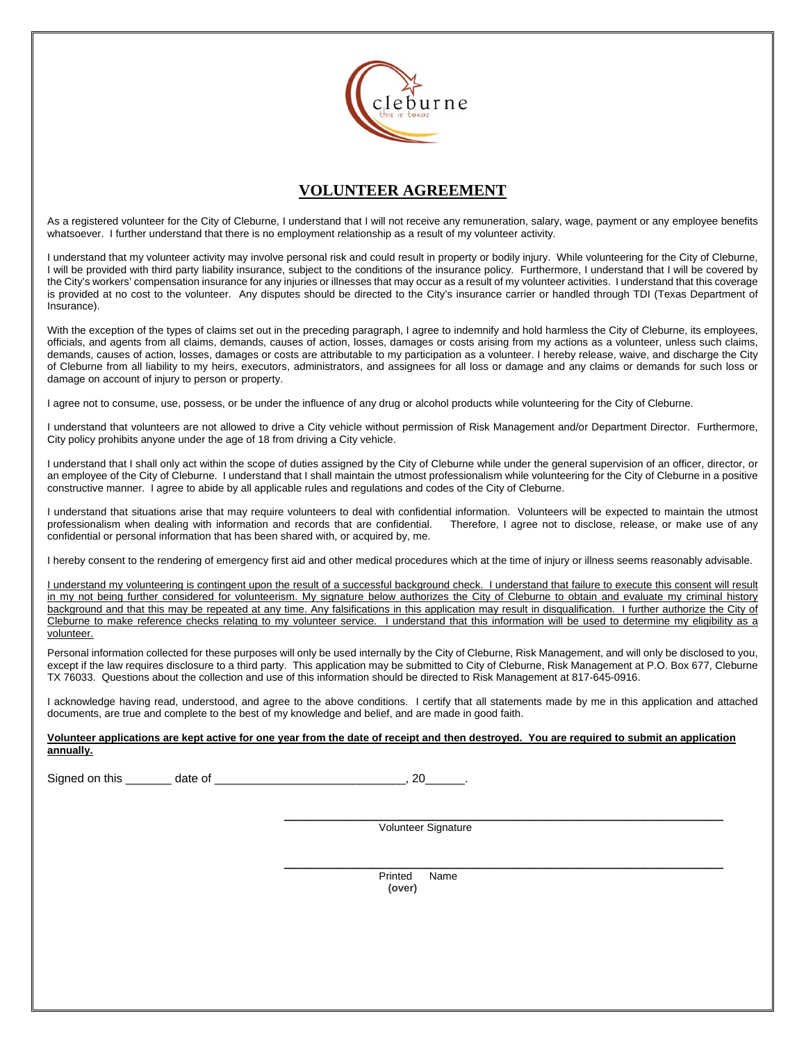

# **VOLUNTEER AGREEMENT**

As a registered volunteer for the City of Cleburne, I understand that I will not receive any remuneration, salary, wage, payment or any employee benefits whatsoever. I further understand that there is no employment relationship as a result of my volunteer activity.

I understand that my volunteer activity may involve personal risk and could result in property or bodily injury. While volunteering for the City of Cleburne, I will be provided with third party liability insurance, subject to the conditions of the insurance policy. Furthermore, I understand that I will be covered by the City's workers' compensation insurance for any injuries or illnesses that may occur as a result of my volunteer activities. I understand that this coverage is provided at no cost to the volunteer. Any disputes should be directed to the City's insurance carrier or handled through TDI (Texas Department of Insurance).

With the exception of the types of claims set out in the preceding paragraph, I agree to indemnify and hold harmless the City of Cleburne, its employees, officials, and agents from all claims, demands, causes of action, losses, damages or costs arising from my actions as a volunteer, unless such claims, demands, causes of action, losses, damages or costs are attributable to my participation as a volunteer. I hereby release, waive, and discharge the City of Cleburne from all liability to my heirs, executors, administrators, and assignees for all loss or damage and any claims or demands for such loss or damage on account of injury to person or property.

I agree not to consume, use, possess, or be under the influence of any drug or alcohol products while volunteering for the City of Cleburne.

I understand that volunteers are not allowed to drive a City vehicle without permission of Risk Management and/or Department Director. Furthermore, City policy prohibits anyone under the age of 18 from driving a City vehicle.

I understand that I shall only act within the scope of duties assigned by the City of Cleburne while under the general supervision of an officer, director, or an employee of the City of Cleburne. I understand that I shall maintain the utmost professionalism while volunteering for the City of Cleburne in a positive constructive manner. I agree to abide by all applicable rules and regulations and codes of the City of Cleburne.

I understand that situations arise that may require volunteers to deal with confidential information. Volunteers will be expected to maintain the utmost professionalism when dealing with information and records that are confidential. Therefore, I agree not to disclose, release, or make use of any confidential or personal information that has been shared with, or acquired by, me.

I hereby consent to the rendering of emergency first aid and other medical procedures which at the time of injury or illness seems reasonably advisable.

I understand my volunteering is contingent upon the result of a successful background check. I understand that failure to execute this consent will result in my not being further considered for volunteerism. My signature below authorizes the City of Cleburne to obtain and evaluate my criminal history background and that this may be repeated at any time. Any falsifications in this application may result in disqualification. I further authorize the City of Cleburne to make reference checks relating to my volunteer service. I understand that this information will be used to determine my eligibility as a volunteer.

Personal information collected for these purposes will only be used internally by the City of Cleburne, Risk Management, and will only be disclosed to you, except if the law requires disclosure to a third party. This application may be submitted to City of Cleburne, Risk Management at P.O. Box 677, Cleburne TX 76033. Questions about the collection and use of this information should be directed to Risk Management at 817-645-0916.

I acknowledge having read, understood, and agree to the above conditions. I certify that all statements made by me in this application and attached documents, are true and complete to the best of my knowledge and belief, and are made in good faith.

#### **Volunteer applications are kept active for one year from the date of receipt and then destroyed. You are required to submit an application annually.**

Signed on this \_\_\_\_\_\_\_ date of \_\_\_\_\_\_\_\_\_\_\_\_\_\_\_\_\_\_\_\_\_\_\_\_\_\_\_\_\_, 20\_\_\_\_\_\_.

\_\_\_\_\_\_\_\_\_\_\_\_\_\_\_\_\_\_\_\_\_\_\_\_\_\_\_\_\_\_\_\_\_\_\_\_\_\_\_\_\_\_\_\_\_\_\_\_\_\_ Volunteer Signature

 \_\_\_\_\_\_\_\_\_\_\_\_\_\_\_\_\_\_\_\_\_\_\_\_\_\_\_\_\_\_\_\_\_\_\_\_\_\_\_\_\_\_\_\_\_\_\_\_\_\_ Printed Name **(over)**